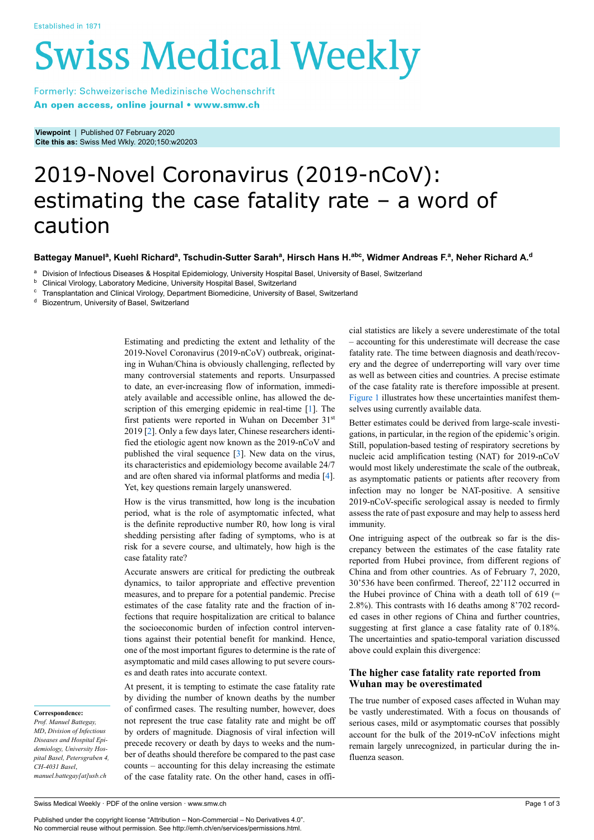# **Swiss Medical Weekly**

Formerly: Schweizerische Medizinische Wochenschrift An open access, online journal • www.smw.ch

**Viewpoint** | Published 07 February 2020 **Cite this as:** Swiss Med Wkly. 2020;150:w20203

# 2019-Novel Coronavirus (2019-nCoV): estimating the case fatality rate – a word of caution

### Battegay Manuelª, Kuehl Richardª, Tschudin-Sutter Sarahª, Hirsch Hans H.ªʰc, Widmer Andreas F.ª, Neher Richard A.ª

<sup>a</sup> Division of Infectious Diseases & Hospital Epidemiology, University Hospital Basel, University of Basel, Switzerland

<sup>b</sup> Clinical Virology, Laboratory Medicine, University Hospital Basel, Switzerland

 $\textdegree$  Transplantation and Clinical Virology, Department Biomedicine, University of Basel, Switzerland<br> $\textdegree$  Biozentrum, University of Basel, Switzerland

Biozentrum, University of Basel, Switzerland

Estimating and predicting the extent and lethality of the 2019-Novel Coronavirus (2019-nCoV) outbreak, originating in Wuhan/China is obviously challenging, reflected by many controversial statements and reports. Unsurpassed to date, an ever-increasing flow of information, immediately available and accessible online, has allowed the description of this emerging epidemic in real-time [[1](#page-2-0)]. The first patients were reported in Wuhan on December 31st 2019 [[2](#page-2-1)]. Only a few days later, Chinese researchers identified the etiologic agent now known as the 2019-nCoV and published the viral sequence [[3](#page-2-2)]. New data on the virus, its characteristics and epidemiology become available 24/7 and are often shared via informal platforms and media [\[4\]](#page-2-3). Yet, key questions remain largely unanswered.

How is the virus transmitted, how long is the incubation period, what is the role of asymptomatic infected, what is the definite reproductive number R0, how long is viral shedding persisting after fading of symptoms, who is at risk for a severe course, and ultimately, how high is the case fatality rate?

Accurate answers are critical for predicting the outbreak dynamics, to tailor appropriate and effective prevention measures, and to prepare for a potential pandemic. Precise estimates of the case fatality rate and the fraction of infections that require hospitalization are critical to balance the socioeconomic burden of infection control interventions against their potential benefit for mankind. Hence, one of the most important figures to determine is the rate of asymptomatic and mild cases allowing to put severe courses and death rates into accurate context.

At present, it is tempting to estimate the case fatality rate by dividing the number of known deaths by the number of confirmed cases. The resulting number, however, does not represent the true case fatality rate and might be off by orders of magnitude. Diagnosis of viral infection will precede recovery or death by days to weeks and the number of deaths should therefore be compared to the past case counts – accounting for this delay increasing the estimate of the case fatality rate. On the other hand, cases in official statistics are likely a severe underestimate of the total – accounting for this underestimate will decrease the case fatality rate. The time between diagnosis and death/recovery and the degree of underreporting will vary over time as well as between cities and countries. A precise estimate of the case fatality rate is therefore impossible at present. [Figure 1](#page-1-0) illustrates how these uncertainties manifest themselves using currently available data.

Better estimates could be derived from large-scale investigations, in particular, in the region of the epidemic's origin. Still, population-based testing of respiratory secretions by nucleic acid amplification testing (NAT) for 2019-nCoV would most likely underestimate the scale of the outbreak, as asymptomatic patients or patients after recovery from infection may no longer be NAT-positive. A sensitive 2019-nCoV-specific serological assay is needed to firmly assess the rate of past exposure and may help to assess herd immunity.

One intriguing aspect of the outbreak so far is the discrepancy between the estimates of the case fatality rate reported from Hubei province, from different regions of China and from other countries. As of February 7, 2020, 30'536 have been confirmed. Thereof, 22'112 occurred in the Hubei province of China with a death toll of  $619$  (= 2.8%). This contrasts with 16 deaths among 8'702 recorded cases in other regions of China and further countries, suggesting at first glance a case fatality rate of 0.18%. The uncertainties and spatio-temporal variation discussed above could explain this divergence:

# **The higher case fatality rate reported from Wuhan may be overestimated**

The true number of exposed cases affected in Wuhan may be vastly underestimated. With a focus on thousands of serious cases, mild or asymptomatic courses that possibly account for the bulk of the 2019-nCoV infections might remain largely unrecognized, in particular during the influenza season.

# **Correspondence:**

*Prof. Manuel Battegay, MD*, *Division of Infectious Diseases and Hospital Epidemiology, University Hospital Basel, Petersgraben 4, CH-4031 Basel*, *manuel.battegay[at]usb.ch*

Published under the copyright license "Attribution – Non-Commercial – No Derivatives 4.0". No commercial reuse without permission. See http://emh.ch/en/services/permissions.html.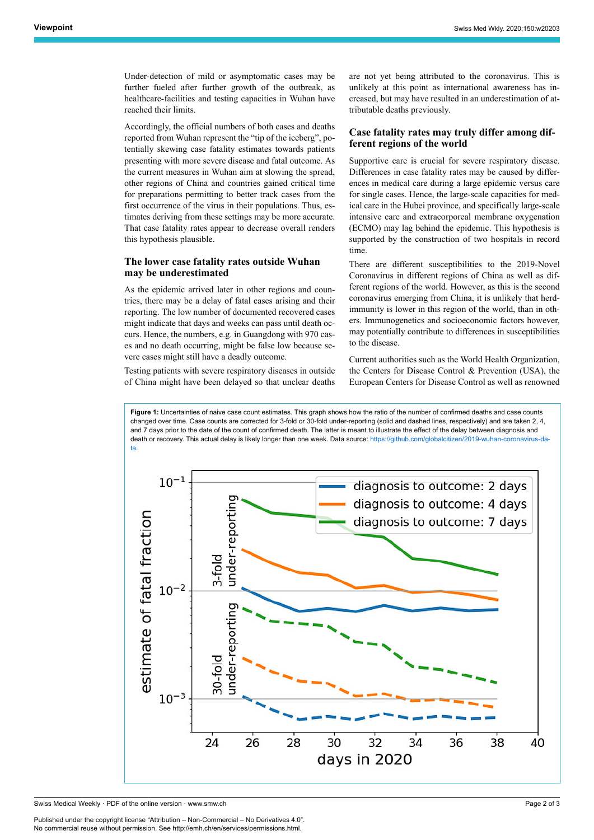Under-detection of mild or asymptomatic cases may be further fueled after further growth of the outbreak, as healthcare-facilities and testing capacities in Wuhan have reached their limits.

Accordingly, the official numbers of both cases and deaths reported from Wuhan represent the "tip of the iceberg", potentially skewing case fatality estimates towards patients presenting with more severe disease and fatal outcome. As the current measures in Wuhan aim at slowing the spread, other regions of China and countries gained critical time for preparations permitting to better track cases from the first occurrence of the virus in their populations. Thus, estimates deriving from these settings may be more accurate. That case fatality rates appear to decrease overall renders this hypothesis plausible.

## **The lower case fatality rates outside Wuhan may be underestimated**

As the epidemic arrived later in other regions and countries, there may be a delay of fatal cases arising and their reporting. The low number of documented recovered cases might indicate that days and weeks can pass until death occurs. Hence, the numbers, e.g. in Guangdong with 970 cases and no death occurring, might be false low because severe cases might still have a deadly outcome.

Testing patients with severe respiratory diseases in outside of China might have been delayed so that unclear deaths are not yet being attributed to the coronavirus. This is unlikely at this point as international awareness has increased, but may have resulted in an underestimation of attributable deaths previously.

# **Case fatality rates may truly differ among different regions of the world**

Supportive care is crucial for severe respiratory disease. Differences in case fatality rates may be caused by differences in medical care during a large epidemic versus care for single cases. Hence, the large-scale capacities for medical care in the Hubei province, and specifically large-scale intensive care and extracorporeal membrane oxygenation (ECMO) may lag behind the epidemic. This hypothesis is supported by the construction of two hospitals in record time.

There are different susceptibilities to the 2019-Novel Coronavirus in different regions of China as well as different regions of the world. However, as this is the second coronavirus emerging from China, it is unlikely that herdimmunity is lower in this region of the world, than in others. Immunogenetics and socioeconomic factors however, may potentially contribute to differences in susceptibilities to the disease.

Current authorities such as the World Health Organization, the Centers for Disease Control & Prevention (USA), the European Centers for Disease Control as well as renowned

<span id="page-1-0"></span>**Figure 1:** Uncertainties of naive case count estimates. This graph shows how the ratio of the number of confirmed deaths and case counts changed over time. Case counts are corrected for 3-fold or 30-fold under-reporting (solid and dashed lines, respectively) and are taken 2, 4, and 7 days prior to the date of the count of confirmed death. The latter is meant to illustrate the effect of the delay between diagnosis and death or recovery. This actual delay is likely longer than one week. Data source: [https://github.com/globalcitizen/2019-wuhan-coronavirus-da](https://github.com/globalcitizen/2019-wuhan-coronavirus-data)[ta](https://github.com/globalcitizen/2019-wuhan-coronavirus-data).



Swiss Medical Weekly · PDF of the online version · www.smw.ch

Published under the copyright license "Attribution – Non-Commercial – No Derivatives 4.0". No commercial reuse without permission. See http://emh.ch/en/services/permissions.html.